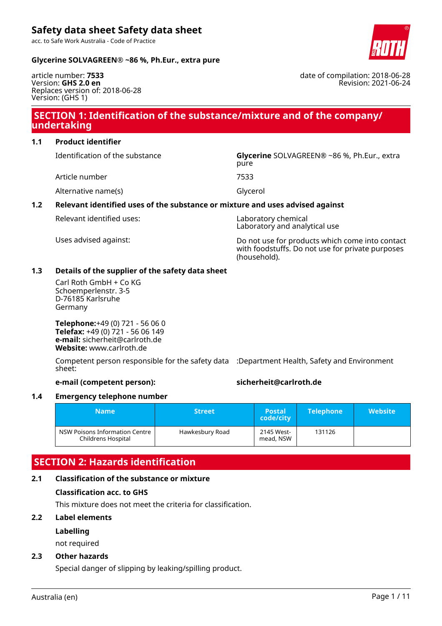acc. to Safe Work Australia - Code of Practice

# **Glycerine SOLVAGREEN® ~86 %, Ph.Eur., extra pure**

article number: **7533** Version: **GHS 2.0 en** Replaces version of: 2018-06-28 Version: (GHS 1)

# **SECTION 1: Identification of the substance/mixture and of the company/ undertaking**

# **1.1 Product identifier**

Identification of the substance **Glycerine** SOLVAGREEN® ~86 %, Ph.Eur., extra

Article number 7533

Alternative name(s) and the control of Glycerol

# **1.2 Relevant identified uses of the substance or mixture and uses advised against**

Laboratory and analytical use

Uses advised against: Do not use for products which come into contact with foodstuffs. Do not use for private purposes (household).

# **1.3 Details of the supplier of the safety data sheet**

Carl Roth GmbH + Co KG Schoemperlenstr. 3-5 D-76185 Karlsruhe Germany

**Telephone:**+49 (0) 721 - 56 06 0 **Telefax:** +49 (0) 721 - 56 06 149 **e-mail:** sicherheit@carlroth.de **Website:** www.carlroth.de

Competent person responsible for the safety data :Department Health, Safety and Environment sheet:

# **e-mail (competent person): sicherheit@carlroth.de**

### **1.4 Emergency telephone number**

| <b>Name</b>                                          | <b>Street</b>   | <b>Postal</b><br>code/city | <b>Telephone</b> | <b>Website</b> |
|------------------------------------------------------|-----------------|----------------------------|------------------|----------------|
| NSW Poisons Information Centre<br>Childrens Hospital | Hawkesbury Road | 2145 West-<br>mead, NSW    | 131126           |                |

# **SECTION 2: Hazards identification**

# **2.1 Classification of the substance or mixture**

# **Classification acc. to GHS**

This mixture does not meet the criteria for classification.

# **2.2 Label elements**

# **Labelling**

not required

# **2.3 Other hazards**

Special danger of slipping by leaking/spilling product.



date of compilation: 2018-06-28

Revision: 2021-06-24

pure

Relevant identified uses: Laboratory chemical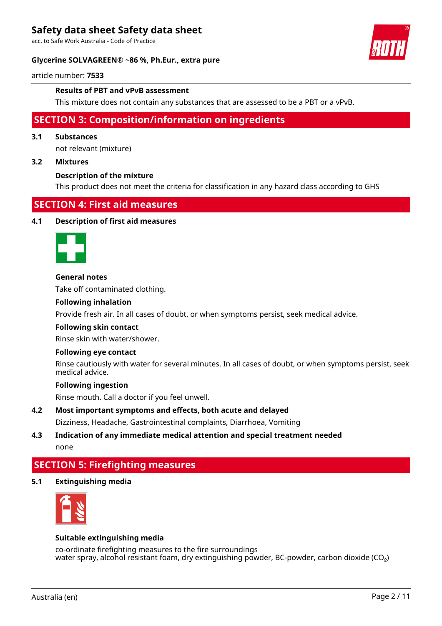acc. to Safe Work Australia - Code of Practice

#### **Glycerine SOLVAGREEN® ~86 %, Ph.Eur., extra pure**



article number: **7533**

#### **Results of PBT and vPvB assessment**

This mixture does not contain any substances that are assessed to be a PBT or a vPvB.

# **SECTION 3: Composition/information on ingredients**

#### **3.1 Substances**

not relevant (mixture)

# **3.2 Mixtures**

#### **Description of the mixture**

This product does not meet the criteria for classification in any hazard class according to GHS

# **SECTION 4: First aid measures**

#### **4.1 Description of first aid measures**



#### **General notes**

Take off contaminated clothing.

#### **Following inhalation**

Provide fresh air. In all cases of doubt, or when symptoms persist, seek medical advice.

#### **Following skin contact**

Rinse skin with water/shower.

#### **Following eye contact**

Rinse cautiously with water for several minutes. In all cases of doubt, or when symptoms persist, seek medical advice.

#### **Following ingestion**

Rinse mouth. Call a doctor if you feel unwell.

# **4.2 Most important symptoms and effects, both acute and delayed**

Dizziness, Headache, Gastrointestinal complaints, Diarrhoea, Vomiting

## **4.3 Indication of any immediate medical attention and special treatment needed** none

# **SECTION 5: Firefighting measures**

# **5.1 Extinguishing media**



# **Suitable extinguishing media**

co-ordinate firefighting measures to the fire surroundings water spray, alcohol resistant foam, dry extinguishing powder, BC-powder, carbon dioxide ( $CO<sub>2</sub>$ )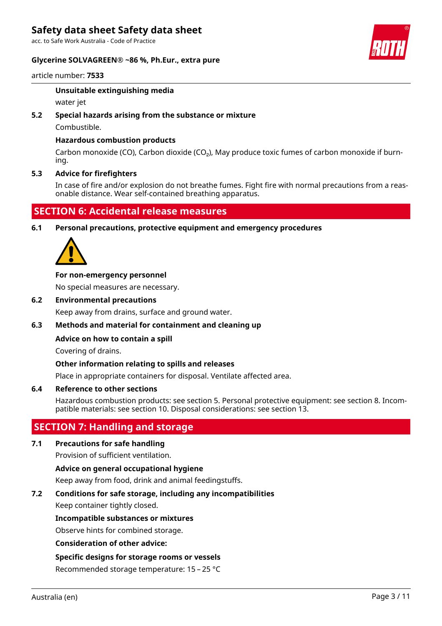acc. to Safe Work Australia - Code of Practice

### **Glycerine SOLVAGREEN® ~86 %, Ph.Eur., extra pure**



article number: **7533**

### **Unsuitable extinguishing media**

water jet

# **5.2 Special hazards arising from the substance or mixture**

Combustible.

# **Hazardous combustion products**

Carbon monoxide (CO), Carbon dioxide (CO₂), May produce toxic fumes of carbon monoxide if burning.

### **5.3 Advice for firefighters**

In case of fire and/or explosion do not breathe fumes. Fight fire with normal precautions from a reasonable distance. Wear self-contained breathing apparatus.

# **SECTION 6: Accidental release measures**

**6.1 Personal precautions, protective equipment and emergency procedures**



#### **For non-emergency personnel**

No special measures are necessary.

#### **6.2 Environmental precautions**

Keep away from drains, surface and ground water.

### **6.3 Methods and material for containment and cleaning up**

### **Advice on how to contain a spill**

Covering of drains.

# **Other information relating to spills and releases**

Place in appropriate containers for disposal. Ventilate affected area.

# **6.4 Reference to other sections**

Hazardous combustion products: see section 5. Personal protective equipment: see section 8. Incompatible materials: see section 10. Disposal considerations: see section 13.

# **SECTION 7: Handling and storage**

# **7.1 Precautions for safe handling**

Provision of sufficient ventilation.

# **Advice on general occupational hygiene**

Keep away from food, drink and animal feedingstuffs.

# **7.2 Conditions for safe storage, including any incompatibilities**

Keep container tightly closed.

### **Incompatible substances or mixtures**

Observe hints for combined storage.

### **Consideration of other advice:**

### **Specific designs for storage rooms or vessels**

Recommended storage temperature: 15 – 25 °C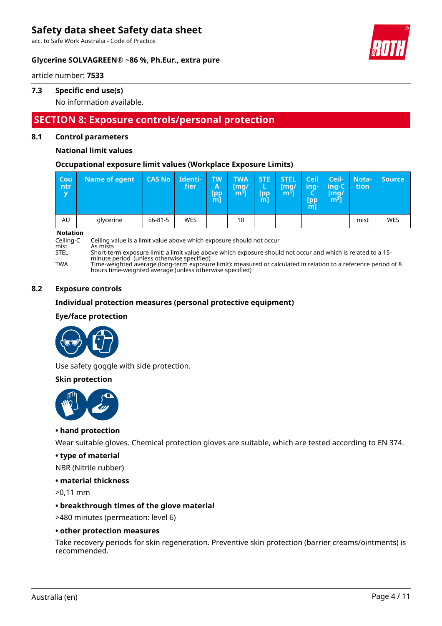acc. to Safe Work Australia - Code of Practice

### **Glycerine SOLVAGREEN® ~86 %, Ph.Eur., extra pure**

article number: **7533**

# **7.3 Specific end use(s)**

No information available.

# **SECTION 8: Exposure controls/personal protection**

# **8.1 Control parameters**

#### **National limit values**

#### **Occupational exposure limit values (Workplace Exposure Limits)**

| Cou<br>ntr<br>V | <b>Name of agent</b> | <b>CAS No</b> | Identi-<br>fier | <b>TW</b><br>A<br>[pp<br>m | <b>TWA</b><br>[mq/<br>m31 | STE:<br>[pp<br>m | <b>STEL</b><br>[mg/<br>m <sup>3</sup> | <b>Ceil</b><br>ina-<br><b>Tpp</b><br>m | <b>Ceil-</b><br>ing-C'<br>/[mq/<br>m <sup>3</sup> | Nota-<br>tion | <b>Source</b> |
|-----------------|----------------------|---------------|-----------------|----------------------------|---------------------------|------------------|---------------------------------------|----------------------------------------|---------------------------------------------------|---------------|---------------|
| AU              | glycerine            | $56 - 81 - 5$ | <b>WES</b>      |                            | 10                        |                  |                                       |                                        |                                                   | mist          | WES           |

**Notation**<br>Ceiling-C

Ceiling-C Ceiling value is a limit value above which exposure should not occur

mist As mists<br>STEL Short-ter

STEL Short-term exposure limit: a limit value above which exposure should not occur and which is related to a 15 minute period (unless otherwise specified)

TWA Time-weighted average (long-term exposure limit): measured or calculated in relation to a reference period of 8 hours time-weighted average (unless otherwise specified)

# **8.2 Exposure controls**

#### **Individual protection measures (personal protective equipment)**

#### **Eye/face protection**



Use safety goggle with side protection.

#### **Skin protection**



### **• hand protection**

Wear suitable gloves. Chemical protection gloves are suitable, which are tested according to EN 374.

### **• type of material**

NBR (Nitrile rubber)

#### **• material thickness**

>0,11 mm

### **• breakthrough times of the glove material**

>480 minutes (permeation: level 6)

#### **• other protection measures**

Take recovery periods for skin regeneration. Preventive skin protection (barrier creams/ointments) is recommended.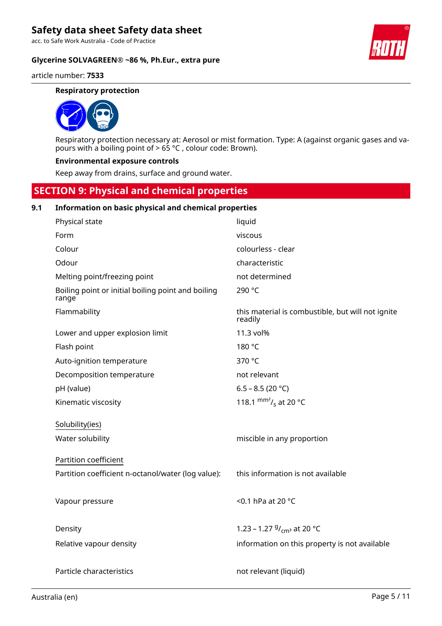acc. to Safe Work Australia - Code of Practice

**Glycerine SOLVAGREEN® ~86 %, Ph.Eur., extra pure**



article number: **7533**

#### **Respiratory protection**



Respiratory protection necessary at: Aerosol or mist formation. Type: A (against organic gases and vapours with a boiling point of > 65 °C , colour code: Brown).

#### **Environmental exposure controls**

Keep away from drains, surface and ground water.

# **SECTION 9: Physical and chemical properties**

# **9.1 Information on basic physical and chemical properties**

| Physical state                                              | liquid                                                       |
|-------------------------------------------------------------|--------------------------------------------------------------|
| Form                                                        | viscous                                                      |
| Colour                                                      | colourless - clear                                           |
| Odour                                                       | characteristic                                               |
| Melting point/freezing point                                | not determined                                               |
| Boiling point or initial boiling point and boiling<br>range | 290 °C                                                       |
| Flammability                                                | this material is combustible, but will not ignite<br>readily |
| Lower and upper explosion limit                             | 11.3 vol%                                                    |
| Flash point                                                 | 180 °C                                                       |
| Auto-ignition temperature                                   | 370 °C                                                       |
| Decomposition temperature                                   | not relevant                                                 |
| pH (value)                                                  | 6.5 - 8.5 (20 °C)                                            |
| Kinematic viscosity                                         | 118.1 $\text{mm}^2$ / <sub>s</sub> at 20 °C                  |
| Solubility(ies)                                             |                                                              |
| Water solubility                                            | miscible in any proportion                                   |
| Partition coefficient                                       |                                                              |
| Partition coefficient n-octanol/water (log value):          | this information is not available                            |
|                                                             |                                                              |
| Vapour pressure                                             | <0.1 hPa at 20 °C                                            |
| Density                                                     | 1.23 – 1.27 $9/$ <sub>cm</sub> at 20 °C                      |
| Relative vapour density                                     | information on this property is not available                |
|                                                             |                                                              |
| Particle characteristics                                    | not relevant (liquid)                                        |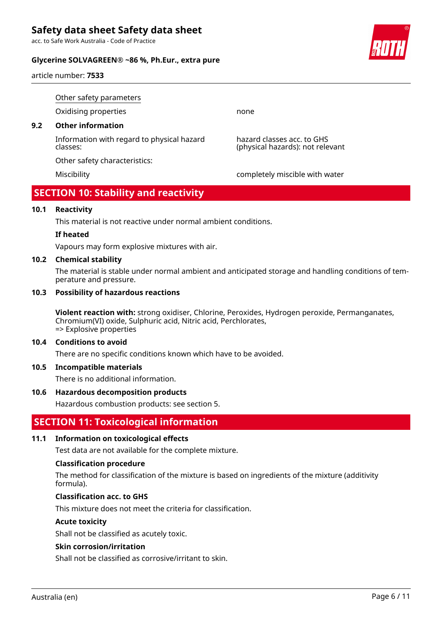acc. to Safe Work Australia - Code of Practice

# **Glycerine SOLVAGREEN® ~86 %, Ph.Eur., extra pure**

article number: **7533**

Other safety parameters Oxidising properties none

# **9.2 Other information**

Information with regard to physical hazard classes:

Other safety characteristics:

Miscibility completely miscible with water

hazard classes acc. to GHS (physical hazards): not relevant

# **SECTION 10: Stability and reactivity**

#### **10.1 Reactivity**

This material is not reactive under normal ambient conditions.

#### **If heated**

Vapours may form explosive mixtures with air.

#### **10.2 Chemical stability**

The material is stable under normal ambient and anticipated storage and handling conditions of temperature and pressure.

#### **10.3 Possibility of hazardous reactions**

**Violent reaction with:** strong oxidiser, Chlorine, Peroxides, Hydrogen peroxide, Permanganates, Chromium(VI) oxide, Sulphuric acid, Nitric acid, Perchlorates, => Explosive properties

#### **10.4 Conditions to avoid**

There are no specific conditions known which have to be avoided.

### **10.5 Incompatible materials**

There is no additional information.

### **10.6 Hazardous decomposition products**

Hazardous combustion products: see section 5.

# **SECTION 11: Toxicological information**

### **11.1 Information on toxicological effects**

Test data are not available for the complete mixture.

#### **Classification procedure**

The method for classification of the mixture is based on ingredients of the mixture (additivity formula).

#### **Classification acc. to GHS**

This mixture does not meet the criteria for classification.

#### **Acute toxicity**

Shall not be classified as acutely toxic.

#### **Skin corrosion/irritation**

Shall not be classified as corrosive/irritant to skin.

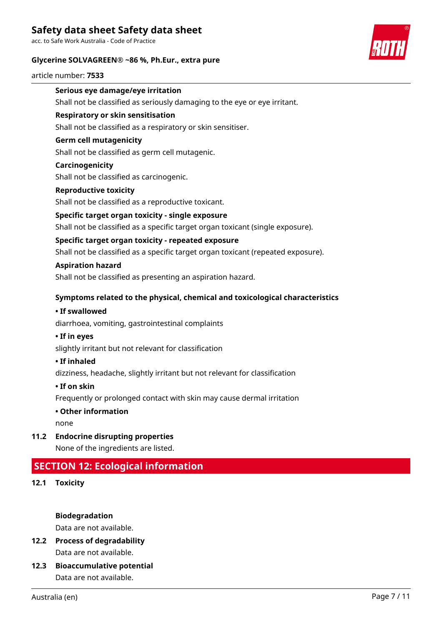acc. to Safe Work Australia - Code of Practice

# **Glycerine SOLVAGREEN® ~86 %, Ph.Eur., extra pure**



article number: **7533**

# **Serious eye damage/eye irritation**

Shall not be classified as seriously damaging to the eye or eye irritant.

# **Respiratory or skin sensitisation**

Shall not be classified as a respiratory or skin sensitiser.

# **Germ cell mutagenicity**

Shall not be classified as germ cell mutagenic.

# **Carcinogenicity**

Shall not be classified as carcinogenic.

### **Reproductive toxicity**

Shall not be classified as a reproductive toxicant.

# **Specific target organ toxicity - single exposure**

Shall not be classified as a specific target organ toxicant (single exposure).

# **Specific target organ toxicity - repeated exposure**

Shall not be classified as a specific target organ toxicant (repeated exposure).

# **Aspiration hazard**

Shall not be classified as presenting an aspiration hazard.

# **Symptoms related to the physical, chemical and toxicological characteristics**

### **• If swallowed**

diarrhoea, vomiting, gastrointestinal complaints

## **• If in eyes**

slightly irritant but not relevant for classification

### **• If inhaled**

dizziness, headache, slightly irritant but not relevant for classification

### **• If on skin**

Frequently or prolonged contact with skin may cause dermal irritation

### **• Other information**

none

**11.2 Endocrine disrupting properties**

None of the ingredients are listed.

# **SECTION 12: Ecological information**

**12.1 Toxicity**

**Biodegradation**

Data are not available.

- **12.2 Process of degradability** Data are not available.
- **12.3 Bioaccumulative potential** Data are not available.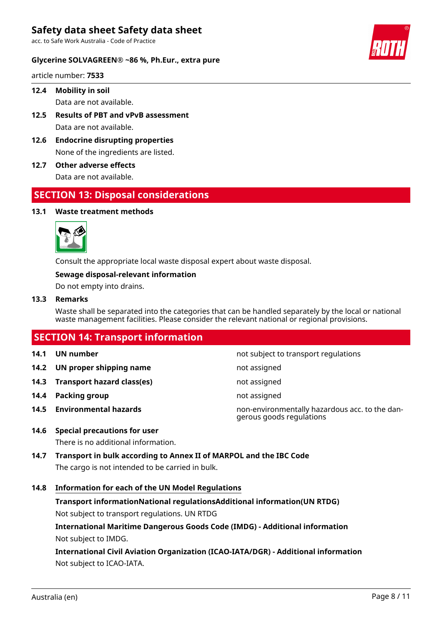acc. to Safe Work Australia - Code of Practice

### **Glycerine SOLVAGREEN® ~86 %, Ph.Eur., extra pure**

article number: **7533**

# **12.4 Mobility in soil**

Data are not available.

- **12.5 Results of PBT and vPvB assessment** Data are not available.
- **12.6 Endocrine disrupting properties** None of the ingredients are listed.
- **12.7 Other adverse effects**

Data are not available.

# **SECTION 13: Disposal considerations**

#### **13.1 Waste treatment methods**



Consult the appropriate local waste disposal expert about waste disposal.

# **Sewage disposal-relevant information**

Do not empty into drains.

# **13.3 Remarks**

Waste shall be separated into the categories that can be handled separately by the local or national waste management facilities. Please consider the relevant national or regional provisions.

| <b>SECTION 14: Transport information</b> |                                 |                                                                            |  |  |
|------------------------------------------|---------------------------------|----------------------------------------------------------------------------|--|--|
| 14.1                                     | UN number                       | not subject to transport regulations                                       |  |  |
|                                          | 14.2 UN proper shipping name    | not assigned                                                               |  |  |
|                                          | 14.3 Transport hazard class(es) | not assigned                                                               |  |  |
| 14.4                                     | Packing group                   | not assigned                                                               |  |  |
|                                          | 14.5 Environmental hazards      | non-environmentally hazardous acc. to the dan-<br>gerous goods regulations |  |  |

# **14.6 Special precautions for user**

There is no additional information.

**14.7 Transport in bulk according to Annex II of MARPOL and the IBC Code** The cargo is not intended to be carried in bulk.

### **14.8 Information for each of the UN Model Regulations**

**Transport informationNational regulationsAdditional information(UN RTDG)** Not subject to transport regulations. UN RTDG

**International Maritime Dangerous Goods Code (IMDG) - Additional information** Not subject to IMDG.

**International Civil Aviation Organization (ICAO-IATA/DGR) - Additional information** Not subject to ICAO-IATA.

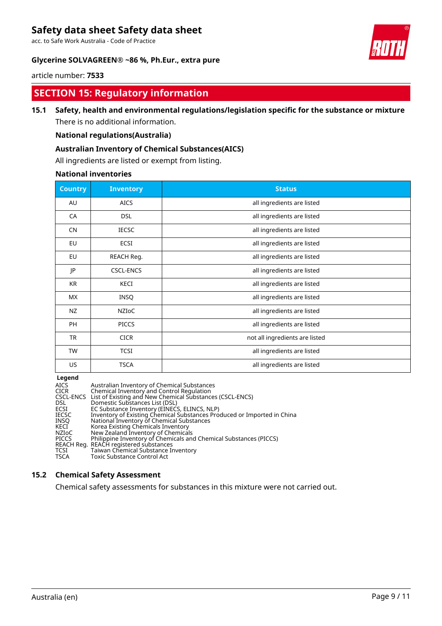acc. to Safe Work Australia - Code of Practice

# **Glycerine SOLVAGREEN® ~86 %, Ph.Eur., extra pure**



article number: **7533**

# **SECTION 15: Regulatory information**

# **15.1 Safety, health and environmental regulations/legislation specific for the substance or mixture**

There is no additional information.

# **National regulations(Australia)**

# **Australian Inventory of Chemical Substances(AICS)**

All ingredients are listed or exempt from listing.

### **National inventories**

| <b>Country</b> | <b>Inventory</b> | <b>Status</b>                  |
|----------------|------------------|--------------------------------|
| AU             | <b>AICS</b>      | all ingredients are listed     |
| CA             | <b>DSL</b>       | all ingredients are listed     |
| <b>CN</b>      | <b>IECSC</b>     | all ingredients are listed     |
| EU             | ECSI             | all ingredients are listed     |
| EU             | REACH Reg.       | all ingredients are listed     |
| JP             | <b>CSCL-ENCS</b> | all ingredients are listed     |
| <b>KR</b>      | KECI             | all ingredients are listed     |
| <b>MX</b>      | INSQ             | all ingredients are listed     |
| NZ             | <b>NZIOC</b>     | all ingredients are listed     |
| <b>PH</b>      | <b>PICCS</b>     | all ingredients are listed     |
| <b>TR</b>      | <b>CICR</b>      | not all ingredients are listed |
| <b>TW</b>      | <b>TCSI</b>      | all ingredients are listed     |
| US             | <b>TSCA</b>      | all ingredients are listed     |

**Legend**

| AICS<br>CICR<br>DSL<br>ECSI<br>IECSC<br>INSO<br>KECI<br>NZIoC<br><b>PICCS</b><br>TCSI | Australian Inventory of Chemical Substances<br>Chemical Inventory and Control Regulation<br>CSCL-ENCS List of Existing and New Chemical Substances (CSCL-ENCS)<br>Domestic Substances List (DSL)<br>EC Substance Inventory (EINECS, ELINCS, NLP)<br>Inventory of Existing Chemical Substances Produced or Imported in China<br>National Inventory of Chemical Substances<br>Korea Existing Chemicals Inventory<br>New Zealand Inventory of Chemicals<br>Philippine Inventory of Chemicals and Chemical Substances (PICCS)<br>REACH Reg. REACH registered substances<br>Taiwan Chemical Substance Inventory |
|---------------------------------------------------------------------------------------|------------------------------------------------------------------------------------------------------------------------------------------------------------------------------------------------------------------------------------------------------------------------------------------------------------------------------------------------------------------------------------------------------------------------------------------------------------------------------------------------------------------------------------------------------------------------------------------------------------|
| TSCA                                                                                  | Toxic Substance Control Act                                                                                                                                                                                                                                                                                                                                                                                                                                                                                                                                                                                |
|                                                                                       |                                                                                                                                                                                                                                                                                                                                                                                                                                                                                                                                                                                                            |

# **15.2 Chemical Safety Assessment**

Chemical safety assessments for substances in this mixture were not carried out.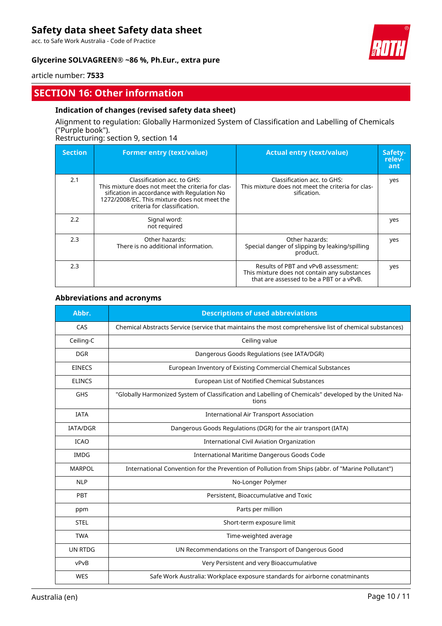acc. to Safe Work Australia - Code of Practice

# **Glycerine SOLVAGREEN® ~86 %, Ph.Eur., extra pure**



article number: **7533**

# **SECTION 16: Other information**

# **Indication of changes (revised safety data sheet)**

Alignment to regulation: Globally Harmonized System of Classification and Labelling of Chemicals ("Purple book").

Restructuring: section 9, section 14

| <b>Section</b> | <b>Former entry (text/value)</b>                                                                                                                                                                                | <b>Actual entry (text/value)</b>                                                                                                | Safety-<br>relev-<br>ant |
|----------------|-----------------------------------------------------------------------------------------------------------------------------------------------------------------------------------------------------------------|---------------------------------------------------------------------------------------------------------------------------------|--------------------------|
| 2.1            | Classification acc. to GHS:<br>This mixture does not meet the criteria for clas-<br>sification in accordance with Regulation No<br>1272/2008/EC. This mixture does not meet the<br>criteria for classification. | Classification acc. to GHS:<br>This mixture does not meet the criteria for clas-<br>sification.                                 | yes                      |
| 2.2            | Signal word:<br>not required                                                                                                                                                                                    |                                                                                                                                 | yes                      |
| 2.3            | Other hazards:<br>There is no additional information.                                                                                                                                                           | Other hazards:<br>Special danger of slipping by leaking/spilling<br>product.                                                    | yes                      |
| 2.3            |                                                                                                                                                                                                                 | Results of PBT and vPvB assessment:<br>This mixture does not contain any substances<br>that are assessed to be a PBT or a vPvB. | yes                      |

#### **Abbreviations and acronyms**

| Abbr.           | <b>Descriptions of used abbreviations</b>                                                                      |
|-----------------|----------------------------------------------------------------------------------------------------------------|
| CAS             | Chemical Abstracts Service (service that maintains the most comprehensive list of chemical substances)         |
| Ceiling-C       | Ceiling value                                                                                                  |
| <b>DGR</b>      | Dangerous Goods Regulations (see IATA/DGR)                                                                     |
| <b>EINECS</b>   | European Inventory of Existing Commercial Chemical Substances                                                  |
| <b>ELINCS</b>   | European List of Notified Chemical Substances                                                                  |
| <b>GHS</b>      | "Globally Harmonized System of Classification and Labelling of Chemicals" developed by the United Na-<br>tions |
| <b>IATA</b>     | <b>International Air Transport Association</b>                                                                 |
| <b>IATA/DGR</b> | Dangerous Goods Regulations (DGR) for the air transport (IATA)                                                 |
| <b>ICAO</b>     | <b>International Civil Aviation Organization</b>                                                               |
| <b>IMDG</b>     | International Maritime Dangerous Goods Code                                                                    |
| <b>MARPOL</b>   | International Convention for the Prevention of Pollution from Ships (abbr. of "Marine Pollutant")              |
| <b>NLP</b>      | No-Longer Polymer                                                                                              |
| PBT             | Persistent, Bioaccumulative and Toxic                                                                          |
| ppm             | Parts per million                                                                                              |
| <b>STEL</b>     | Short-term exposure limit                                                                                      |
| <b>TWA</b>      | Time-weighted average                                                                                          |
| <b>UN RTDG</b>  | UN Recommendations on the Transport of Dangerous Good                                                          |
| vPvB            | Very Persistent and very Bioaccumulative                                                                       |
| <b>WES</b>      | Safe Work Australia: Workplace exposure standards for airborne conatminants                                    |